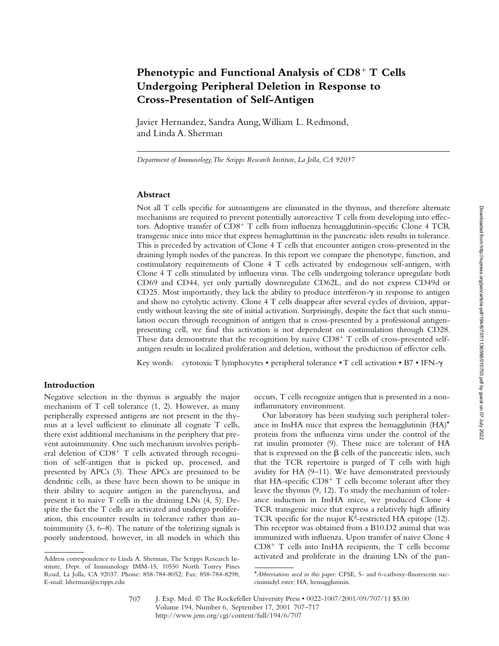# Phenotypic and Functional Analysis of CD8<sup>+</sup> T Cells **Undergoing Peripheral Deletion in Response to Cross-Presentation of Self-Antigen**

Javier Hernandez, Sandra Aung, William L. Redmond, and Linda A. Sherman

*Department of Immunology, The Scripps Research Institute, La Jolla, CA 92037*

## **Abstract**

Not all T cells specific for autoantigens are eliminated in the thymus, and therefore alternate mechanisms are required to prevent potentially autoreactive T cells from developing into effectors. Adoptive transfer of CD8<sup>+</sup> T cells from influenza hemagglutinin-specific Clone 4 TCR transgenic mice into mice that express hemagluttinin in the pancreatic islets results in tolerance. This is preceded by activation of Clone 4 T cells that encounter antigen cross-presented in the draining lymph nodes of the pancreas. In this report we compare the phenotype, function, and costimulatory requirements of Clone 4 T cells activated by endogenous self-antigen, with Clone 4 T cells stimulated by influenza virus. The cells undergoing tolerance upregulate both CD69 and CD44, yet only partially downregulate CD62L, and do not express CD49d or CD25. Most importantly, they lack the ability to produce interferon- $\gamma$  in response to antigen and show no cytolytic activity. Clone 4 T cells disappear after several cycles of division, apparently without leaving the site of initial activation. Surprisingly, despite the fact that such stimulation occurs through recognition of antigen that is cross-presented by a professional antigenpresenting cell, we find this activation is not dependent on costimulation through CD28. These data demonstrate that the recognition by naive  $CD8^+$  T cells of cross-presented selfantigen results in localized proliferation and deletion, without the production of effector cells.

Key words: cytotoxic T lymphocytes • peripheral tolerance • T cell activation • B7 • IFN- $\gamma$ 

# **Introduction**

Negative selection in the thymus is arguably the major mechanism of T cell tolerance (1, 2). However, as many peripherally expressed antigens are not present in the thymus at a level sufficient to eliminate all cognate T cells, there exist additional mechanisms in the periphery that prevent autoimmunity. One such mechanism involves peripheral deletion of CD8<sup>+</sup> T cells activated through recognition of self-antigen that is picked up, processed, and presented by APCs (3). These APCs are presumed to be dendritic cells, as these have been shown to be unique in their ability to acquire antigen in the parenchyma, and present it to naive T cells in the draining LNs (4, 5). Despite the fact the T cells are activated and undergo proliferation, this encounter results in tolerance rather than autoimmunity (3, 6–8). The nature of the tolerizing signals is poorly understood, however, in all models in which this

occurs, T cells recognize antigen that is presented in a noninflammatory environment.

Our laboratory has been studying such peripheral tolerance in InsHA mice that express the hemagglutinin  $(HA)^*$ protein from the influenza virus under the control of the rat insulin promoter (9). These mice are tolerant of HA that is expressed on the  $\beta$  cells of the pancreatic islets, such that the TCR repertoire is purged of T cells with high avidity for HA (9–11). We have demonstrated previously that HA-specific CD8<sup>+</sup> T cells become tolerant after they leave the thymus (9, 12). To study the mechanism of tolerance induction in InsHA mice, we produced Clone 4 TCR transgenic mice that express a relatively high affinity TCR specific for the major  $K<sup>d</sup>$ -restricted HA epitope (12). This receptor was obtained from a B10.D2 animal that was immunized with influenza. Upon transfer of naive Clone 4 CD8- T cells into InsHA recipients, the T cells become Address correspondence to Linda A. Sherman, The Scripps Research In- activated and proliferate in the draining LNs of the pan-

stitute, Dept. of Immunology IMM-15, 10550 North Torrey Pines Road, La Jolla, CA 92037. Phone: 858-784-8052; Fax: 858-784-8298; E-mail: lsherman@scripps.edu

<sup>\*</sup>*Abbreviations used in this paper:* CFSE, 5- and 6-carboxy-fluorescein succinimidyl ester; HA, hemagglutinin.

J. Exp. Med. © The Rockefeller University Press • 0022-1007/2001/09/707/11 \$5.00 Volume 194, Number 6, September 17, 2001 707–717 http://www.jem.org/cgi/content/full/194/6/707 707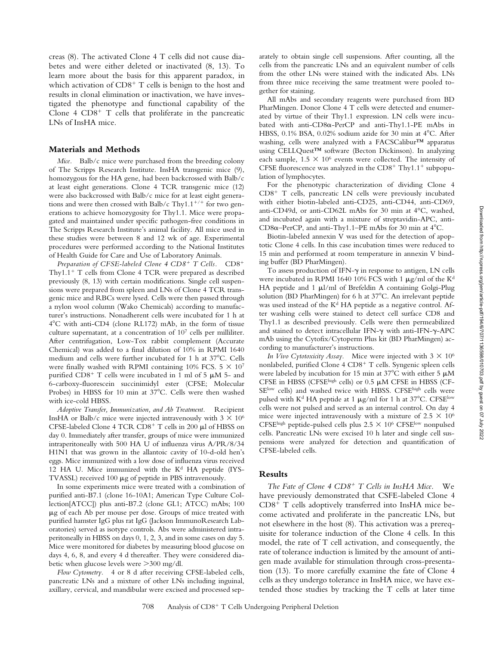creas (8). The activated Clone 4 T cells did not cause diabetes and were either deleted or inactivated (8, 13). To learn more about the basis for this apparent paradox, in which activation of CD8<sup>+</sup> T cells is benign to the host and results in clonal elimination or inactivation, we have investigated the phenotype and functional capability of the Clone  $4$  CD8<sup>+</sup> T cells that proliferate in the pancreatic LNs of InsHA mice.

#### **Materials and Methods**

*Mice.* Balb/c mice were purchased from the breeding colony of The Scripps Research Institute. InsHA transgenic mice (9), homozygous for the HA gene, had been backcrossed with Balb/c at least eight generations. Clone 4 TCR transgenic mice (12) were also backcrossed with Balb/c mice for at least eight generations and were then crossed with Balb/c Thy1.1<sup>+/+</sup> for two generations to achieve homozygosity for Thy1.1. Mice were propagated and maintained under specific pathogen-free conditions in The Scripps Research Institute's animal facility. All mice used in these studies were between 8 and 12 wk of age. Experimental procedures were performed according to the National Institutes of Health Guide for Care and Use of Laboratory Animals.

Preparation of CFSE-labeled Clone 4 CD8<sup>+</sup> T Cells. CD8<sup>+</sup>  $CD8<sup>+</sup>$ Thy1.1<sup>+</sup> T cells from Clone 4 TCR were prepared as described previously (8, 13) with certain modifications. Single cell suspensions were prepared from spleen and LNs of Clone 4 TCR transgenic mice and RBCs were lysed. Cells were then passed through a nylon wool column (Wako Chemicals) according to manufacturer's instructions. Nonadherent cells were incubated for 1 h at 4C with anti-CD4 (clone RL172) mAb, in the form of tissue culture supernatant, at a concentration of  $10<sup>7</sup>$  cells per milliliter. After centrifugation, Low-Tox rabbit complement (Accurate Chemical) was added to a final dilution of 10% in RPMI 1640 medium and cells were further incubated for 1 h at 37°C. Cells were finally washed with RPMI containing 10% FCS.  $5 \times 10^7$ purified  $CD8^+$  T cells were incubated in 1 ml of 5  $\mu$ M 5- and 6-carboxy-fluorescein succinimidyl ester (CFSE; Molecular Probes) in HBSS for 10 min at 37°C. Cells were then washed with ice-cold HBSS.

*Adoptive Transfer, Immunization, and Ab Treatment.* Recipient InsHA or Balb/c mice were injected intravenously with  $3 \times 10^6$ CFSE-labeled Clone 4 TCR CD8<sup>+</sup> T cells in 200 µl of HBSS on day 0. Immediately after transfer, groups of mice were immunized intraperitoneally with 500 HA U of influenza virus A/PR/8/34 H1N1 that was grown in the allantoic cavity of 10-d-old hen's eggs. Mice immunized with a low dose of influenza virus received 12 HA U. Mice immunized with the  $K<sup>d</sup>$  HA peptide (IYS-TVASSL) received  $100 \mu$ g of peptide in PBS intravenously.

In some experiments mice were treated with a combination of purified anti-B7.1 (clone 16-10A1; American Type Culture Collection[ATCC]) plus anti-B7.2 (clone GL1; ATCC) mAbs; 100 g of each Ab per mouse per dose. Groups of mice treated with purified hamster IgG plus rat IgG (Jackson ImmunoResearch Laboratories) served as isotype controls. Abs were administered intraperitoneally in HBSS on days 0, 1, 2, 3, and in some cases on day 5. Mice were monitored for diabetes by measuring blood glucose on days 4, 6, 8, and every 4 d thereafter. They were considered diabetic when glucose levels were 300 mg/dl.

*Flow Cytometry.* 4 or 8 d after receiving CFSE-labeled cells, pancreatic LNs and a mixture of other LNs including inguinal, axillary, cervical, and mandibular were excised and processed separately to obtain single cell suspensions. After counting, all the cells from the pancreatic LNs and an equivalent number of cells from the other LNs were stained with the indicated Abs. LNs from three mice receiving the same treatment were pooled together for staining.

All mAbs and secondary reagents were purchased from BD PharMingen. Donor Clone 4 T cells were detected and enumerated by virtue of their Thy1.1 expression. LN cells were incubated with anti- $CD8\alpha$ -PerCP and anti-Thy1.1-PE mAbs in HBSS, 0.1% BSA, 0.02% sodium azide for 30 min at 4°C. After washing, cells were analyzed with a FACSCalibur™ apparatus using CELLQuest™ software (Becton Dickinson). In analyzing each sample,  $1.5 \times 10^6$  events were collected. The intensity of CFSE fluorescence was analyzed in the  $CD8<sup>+</sup>$  Thy1.1<sup>+</sup> subpopulation of lymphocytes.

For the phenotypic characterization of dividing Clone 4 CD8<sup>+</sup> T cells, pancreatic LN cells were previously incubated with either biotin-labeled anti-CD25, anti-CD44, anti-CD69, anti-CD49d, or anti-CD62L mAbs for 30 min at 4°C, washed, and incubated again with a mixture of streptavidin-APC, anti-CD8 $\alpha$ –PerCP, and anti-Thy1.1–PE mAbs for 30 min at 4°C.

Biotin-labeled annexin V was used for the detection of apoptotic Clone 4 cells. In this case incubation times were reduced to 15 min and performed at room temperature in annexin V binding buffer (BD PharMingen).

To assess production of IFN- $\gamma$  in response to antigen, LN cells were incubated in RPMI 1640 10% FCS with 1  $\mu$ g/ml of the K<sup>d</sup> HA peptide and 1  $\mu$ l/ml of Brefeldin A containing Golgi-Plug solution (BD PharMingen) for 6 h at 37°C. An irrelevant peptide was used instead of the K<sup>d</sup> HA peptide as a negative control. After washing cells were stained to detect cell surface CD8 and Thy1.1 as described previously. Cells were then permeabilized and stained to detect intracellular IFN- $\gamma$  with anti-IFN- $\gamma$ -APC mAb using the Cytofix/Cytoperm Plus kit (BD PharMingen) according to manufacturer's instructions.

*In Vivo Cytotoxicity Assay.* Mice were injected with  $3 \times 10^6$ nonlabeled, purified Clone 4 CD8<sup>+</sup> T cells. Syngenic spleen cells were labeled by incubation for 15 min at 37°C with either 5  $\upmu\text{M}$ CFSE in HBSS (CFSEhigh cells) or  $0.5 \mu M$  CFSE in HBSS (CF-SElow cells) and washed twice with HBSS. CFSEhigh cells were pulsed with  $K^d$  HA peptide at 1  $\mu$ g/ml for 1 h at 37°C. CFSE<sup>low</sup> cells were not pulsed and served as an internal control. On day 4 mice were injected intravenously with a mixture of  $2.5 \times 10^6$ CFSE<sup>high</sup> peptide-pulsed cells plus  $2.5 \times 10^6$  CFSE<sup>low</sup> nonpulsed cells. Pancreatic LNs were excised 10 h later and single cell suspensions were analyzed for detection and quantification of CFSE-labeled cells.

### **Results**

The Fate of Clone 4 CD8<sup>+</sup> T Cells in InsHA Mice. We have previously demonstrated that CSFE-labeled Clone 4 CD8<sup>+</sup> T cells adoptively transferred into InsHA mice become activated and proliferate in the pancreatic LNs, but not elsewhere in the host (8). This activation was a prerequisite for tolerance induction of the Clone 4 cells. In this model, the rate of T cell activation, and consequently, the rate of tolerance induction is limited by the amount of antigen made available for stimulation through cross-presentation (13). To more carefully examine the fate of Clone 4 cells as they undergo tolerance in InsHA mice, we have extended those studies by tracking the T cells at later time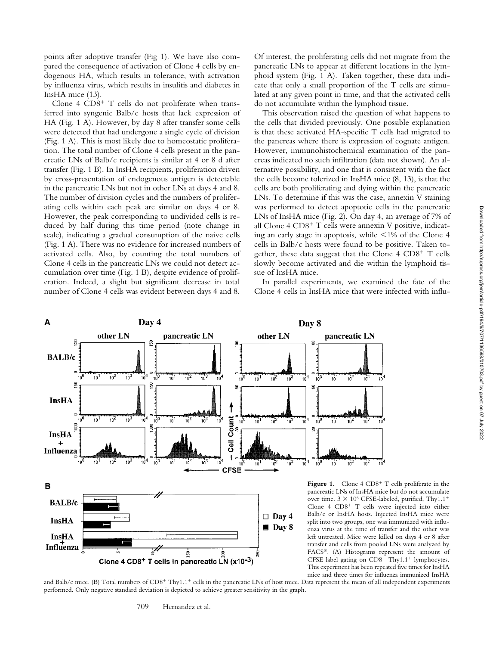points after adoptive transfer (Fig 1). We have also compared the consequence of activation of Clone 4 cells by endogenous HA, which results in tolerance, with activation by influenza virus, which results in insulitis and diabetes in InsHA mice (13).

Clone  $4$  CD8<sup>+</sup> T cells do not proliferate when transferred into syngenic Balb/c hosts that lack expression of HA (Fig. 1 A). However, by day 8 after transfer some cells were detected that had undergone a single cycle of division (Fig. 1 A). This is most likely due to homeostatic proliferation. The total number of Clone 4 cells present in the pancreatic LNs of Balb/c recipients is similar at 4 or 8 d after transfer (Fig. 1 B). In InsHA recipients, proliferation driven by cross-presentation of endogenous antigen is detectable in the pancreatic LNs but not in other LNs at days 4 and 8. The number of division cycles and the numbers of proliferating cells within each peak are similar on days 4 or 8. However, the peak corresponding to undivided cells is reduced by half during this time period (note change in scale), indicating a gradual consumption of the naive cells (Fig. 1 A). There was no evidence for increased numbers of activated cells. Also, by counting the total numbers of Clone 4 cells in the pancreatic LNs we could not detect accumulation over time (Fig. 1 B), despite evidence of proliferation. Indeed, a slight but significant decrease in total number of Clone 4 cells was evident between days 4 and 8.

Of interest, the proliferating cells did not migrate from the pancreatic LNs to appear at different locations in the lymphoid system (Fig. 1 A). Taken together, these data indicate that only a small proportion of the T cells are stimulated at any given point in time, and that the activated cells do not accumulate within the lymphoid tissue.

This observation raised the question of what happens to the cells that divided previously. One possible explanation is that these activated HA-specific T cells had migrated to the pancreas where there is expression of cognate antigen. However, immunohistochemical examination of the pancreas indicated no such infiltration (data not shown). An alternative possibility, and one that is consistent with the fact the cells become tolerized in InsHA mice (8, 13), is that the cells are both proliferating and dying within the pancreatic LNs. To determine if this was the case, annexin V staining was performed to detect apoptotic cells in the pancreatic LNs of InsHA mice (Fig. 2). On day 4, an average of 7% of all Clone 4 CD8<sup>+</sup> T cells were annexin V positive, indicating an early stage in apoptosis, while 1% of the Clone 4 cells in Balb/c hosts were found to be positive. Taken together, these data suggest that the Clone 4 CD8<sup>+</sup> T cells slowly become activated and die within the lymphoid tissue of InsHA mice.

In parallel experiments, we examined the fate of the Clone 4 cells in InsHA mice that were infected with influ-



and Balb/c mice. (B) Total numbers of CD8<sup>+</sup> Thy1.1<sup>+</sup> cells in the pancreatic LNs of host mice. Data represent the mean of all independent experiments performed. Only negative standard deviation is depicted to achieve greater sensitivity in the graph.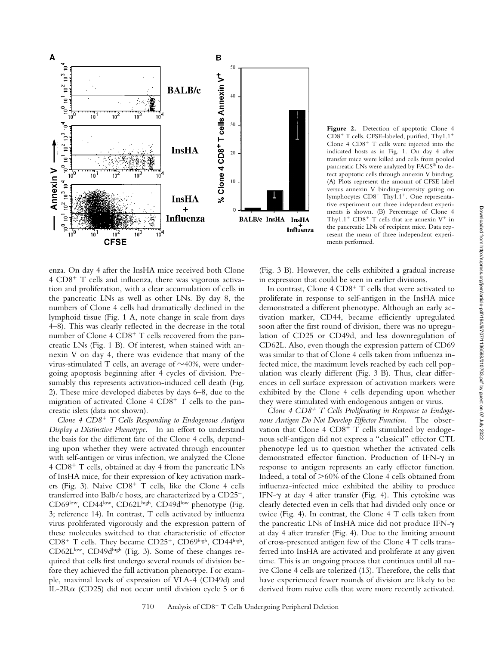

**Figure 2.** Detection of apoptotic Clone 4 CD8<sup>+</sup> T cells. CFSE-labeled, purified, Thy1.1<sup>+</sup> Clone  $4$  CD8<sup>+</sup> T cells were injected into the indicated hosts as in Fig. 1. On day 4 after transfer mice were killed and cells from pooled pancreatic LNs were analyzed by FACS® to detect apoptotic cells through annexin V binding. (A) Plots represent the amount of CFSE label versus annexin V binding–intensity gating on lymphocytes CD8<sup>+</sup> Thy1.1<sup>+</sup>. One representative experiment out three independent experiments is shown. (B) Percentage of Clone 4 Thy1.1<sup>+</sup> CD8<sup>+</sup> T cells that are annexin  $V^+$  in the pancreatic LNs of recipient mice. Data represent the mean of three independent experiments performed.

enza. On day 4 after the InsHA mice received both Clone 4 CD8<sup>+</sup> T cells and influenza, there was vigorous activation and proliferation, with a clear accumulation of cells in the pancreatic LNs as well as other LNs. By day 8, the numbers of Clone 4 cells had dramatically declined in the lymphoid tissue (Fig. 1 A, note change in scale from days 4–8). This was clearly reflected in the decrease in the total number of Clone 4 CD8<sup>+</sup> T cells recovered from the pancreatic LNs (Fig. 1 B). Of interest, when stained with annexin V on day 4, there was evidence that many of the virus-stimulated T cells, an average of  $\sim$ 40%, were undergoing apoptosis beginning after 4 cycles of division. Presumably this represents activation-induced cell death (Fig. 2). These mice developed diabetes by days 6–8, due to the migration of activated Clone 4 CD8<sup>+</sup> T cells to the pancreatic islets (data not shown).

*Clone 4 CD8*- *T Cells Responding to Endogenous Antigen Display a Distinctive Phenotype.* In an effort to understand the basis for the different fate of the Clone 4 cells, depending upon whether they were activated through encounter with self-antigen or virus infection, we analyzed the Clone 4 CD8<sup>+</sup> T cells, obtained at day 4 from the pancreatic LNs of InsHA mice, for their expression of key activation markers (Fig. 3). Naive CD8<sup>+</sup> T cells, like the Clone 4 cells transferred into Balb/c hosts, are characterized by a CD25<sup>-</sup>, CD69low, CD44low, CD62Lhigh, CD49dlow phenotype (Fig. 3; reference 14). In contrast, T cells activated by influenza virus proliferated vigorously and the expression pattern of these molecules switched to that characteristic of effector CD8<sup>+</sup> T cells. They became CD25<sup>+</sup>, CD69high, CD44high, CD62Llow, CD49dhigh (Fig. 3). Some of these changes required that cells first undergo several rounds of division before they achieved the full activation phenotype. For example, maximal levels of expression of VLA-4 (CD49d) and IL-2R $\alpha$  (CD25) did not occur until division cycle 5 or 6

(Fig. 3 B). However, the cells exhibited a gradual increase in expression that could be seen in earlier divisions.

In contrast, Clone 4 CD8<sup>+</sup> T cells that were activated to proliferate in response to self-antigen in the InsHA mice demonstrated a different phenotype. Although an early activation marker, CD44, became efficiently upregulated soon after the first round of division, there was no upregulation of CD25 or CD49d, and less downregulation of CD62L. Also, even though the expression pattern of CD69 was similar to that of Clone 4 cells taken from influenza infected mice, the maximum levels reached by each cell population was clearly different (Fig. 3 B). Thus, clear differences in cell surface expression of activation markers were exhibited by the Clone 4 cells depending upon whether they were stimulated with endogenous antigen or virus.

*Clone 4 CD8*- *T Cells Proliferating in Response to Endogenous Antigen Do Not Develop Effector Function.* The observation that Clone 4 CD8<sup>+</sup> T cells stimulated by endogenous self-antigen did not express a "classical" effector CTL phenotype led us to question whether the activated cells demonstrated effector function. Production of IFN- $\gamma$  in response to antigen represents an early effector function. Indeed, a total of  $>60\%$  of the Clone 4 cells obtained from influenza-infected mice exhibited the ability to produce IFN- $\gamma$  at day 4 after transfer (Fig. 4). This cytokine was clearly detected even in cells that had divided only once or twice (Fig. 4). In contrast, the Clone 4 T cells taken from the pancreatic LNs of InsHA mice did not produce IFN at day 4 after transfer (Fig. 4). Due to the limiting amount of cross-presented antigen few of the Clone 4 T cells transferred into InsHA are activated and proliferate at any given time. This is an ongoing process that continues until all naive Clone 4 cells are tolerized (13). Therefore, the cells that have experienced fewer rounds of division are likely to be derived from naive cells that were more recently activated.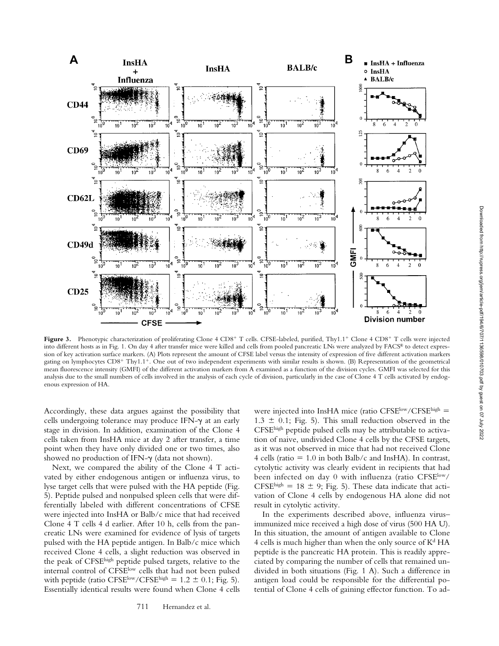

Figure 3. Phenotypic characterization of proliferating Clone 4 CD8<sup>+</sup> T cells. CFSE-labeled, purified, Thy1.1<sup>+</sup> Clone 4 CD8<sup>+</sup> T cells were injected into different hosts as in Fig. 1. On day 4 after transfer mice were killed and cells from pooled pancreatic LNs were analyzed by FACS® to detect expression of key activation surface markers. (A) Plots represent the amount of CFSE label versus the intensity of expression of five different activation markers gating on lymphocytes CD8<sup>+</sup> Thy1.1<sup>+</sup>. One out of two independent experiments with similar results is shown. (B) Representation of the geometrical mean fluorescence intensity (GMFI) of the different activation markers from A examined as a function of the division cycles. GMFI was selected for this analysis due to the small numbers of cells involved in the analysis of each cycle of division, particularly in the case of Clone 4 T cells activated by endogenous expression of HA.

Accordingly, these data argues against the possibility that cells undergoing tolerance may produce IFN- $\gamma$  at an early stage in division. In addition, examination of the Clone 4 cells taken from InsHA mice at day 2 after transfer, a time point when they have only divided one or two times, also showed no production of IFN- $\gamma$  (data not shown).

Next, we compared the ability of the Clone 4 T activated by either endogenous antigen or influenza virus, to lyse target cells that were pulsed with the HA peptide (Fig. 5). Peptide pulsed and nonpulsed spleen cells that were differentially labeled with different concentrations of CFSE were injected into InsHA or Balb/c mice that had received Clone 4 T cells 4 d earlier. After 10 h, cells from the pancreatic LNs were examined for evidence of lysis of targets pulsed with the HA peptide antigen. In Balb/c mice which received Clone 4 cells, a slight reduction was observed in the peak of CFSEhigh peptide pulsed targets, relative to the internal control of CFSElow cells that had not been pulsed with peptide (ratio CFSE<sup>low</sup>/CFSE<sup>high</sup> =  $1.2 \pm 0.1$ ; Fig. 5). Essentially identical results were found when Clone 4 cells

were injected into InsHA mice (ratio CFSElow/CFSEhigh =  $1.3 \pm 0.1$ ; Fig. 5). This small reduction observed in the CFSEhigh peptide pulsed cells may be attributable to activation of naive, undivided Clone 4 cells by the CFSE targets, as it was not observed in mice that had not received Clone 4 cells (ratio  $= 1.0$  in both Balb/c and InsHA). In contrast, cytolytic activity was clearly evident in recipients that had been infected on day 0 with influenza (ratio CFSE<sup>low</sup>/ CFSE<sup>high</sup> = 18  $\pm$  9; Fig. 5). These data indicate that activation of Clone 4 cells by endogenous HA alone did not result in cytolytic activity.

In the experiments described above, influenza virus– immunized mice received a high dose of virus (500 HA U). In this situation, the amount of antigen available to Clone 4 cells is much higher than when the only source of  $K<sup>d</sup> HA$ peptide is the pancreatic HA protein. This is readily appreciated by comparing the number of cells that remained undivided in both situations (Fig. 1 A). Such a difference in antigen load could be responsible for the differential potential of Clone 4 cells of gaining effector function. To ad-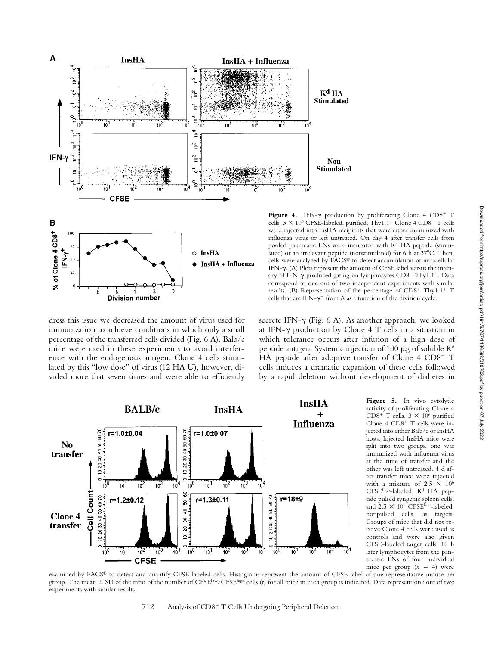

cells.  $3 \times 10^6$  CFSE-labeled, purified, Thy $1.1^+$  Clone 4 CD8<sup>+</sup> T cells were injected into InsHA recipients that were either immunized with influenza virus or left untreated. On day 4 after transfer cells from pooled pancreatic LNs were incubated with K<sup>d</sup> HA peptide (stimulated) or an irrelevant peptide (nonstimulated) for 6 h at  $37^{\circ}$ C. Then, cells were analyzed by FACS® to detect accumulation of intracellular IFN- $\gamma$ . (A) Plots represent the amount of CFSE label versus the intensity of IFN- $\gamma$  produced gating on lymphocytes CD8<sup>+</sup> Thy1.1<sup>+</sup>. Data correspond to one out of two independent experiments with similar results. (B) Representation of the percentage of CD8<sup>+</sup> Thy1.1<sup>+</sup> T cells that are IFN- $\gamma^+$  from A as a function of the division cycle.

dress this issue we decreased the amount of virus used for immunization to achieve conditions in which only a small percentage of the transferred cells divided (Fig. 6 A). Balb/c mice were used in these experiments to avoid interference with the endogenous antigen. Clone 4 cells stimulated by this "low dose" of virus (12 HA U), however, divided more that seven times and were able to efficiently

6

**Division number** 

 $25$ 

.<br>ج

secrete IFN- $\gamma$  (Fig. 6 A). As another approach, we looked at IFN- $\gamma$  production by Clone 4 T cells in a situation in which tolerance occurs after infusion of a high dose of peptide antigen. Systemic injection of 100  $\mu$ g of soluble K<sup>d</sup> HA peptide after adoptive transfer of Clone 4 CD8<sup>+</sup> T cells induces a dramatic expansion of these cells followed by a rapid deletion without development of diabetes in



**Figure 5.** In vivo cytolytic activity of proliferating Clone 4 CD8<sup>+</sup> T cells.  $3 \times 10^6$  purified Clone 4 CD8<sup>+</sup> T cells were injected into either Balb/c or InsHA hosts. Injected InsHA mice were split into two groups, one was immunized with influenza virus at the time of transfer and the other was left untreated. 4 d after transfer mice were injected with a mixture of 2.5  $\times$  10<sup>6</sup> CFSEhigh-labeled, K<sup>d</sup> HA peptide pulsed syngenic spleen cells, and  $2.5 \times 10^6$  CFSE<sup>low</sup>-labeled, nonpulsed cells, as targets. Groups of mice that did not receive Clone 4 cells were used as controls and were also given CFSE-labeled target cells. 10 h later lymphocytes from the pancreatic LNs of four individual mice per group  $(n = 4)$  were

examined by FACS® to detect and quantify CFSE-labeled cells. Histograms represent the amount of CFSE label of one representative mouse per group. The mean  $\pm$  SD of the ratio of the number of CFSE<sup>low</sup>/CFSE<sup>high</sup> cells (r) for all mice in each group is indicated. Data represent one out of two experiments with similar results.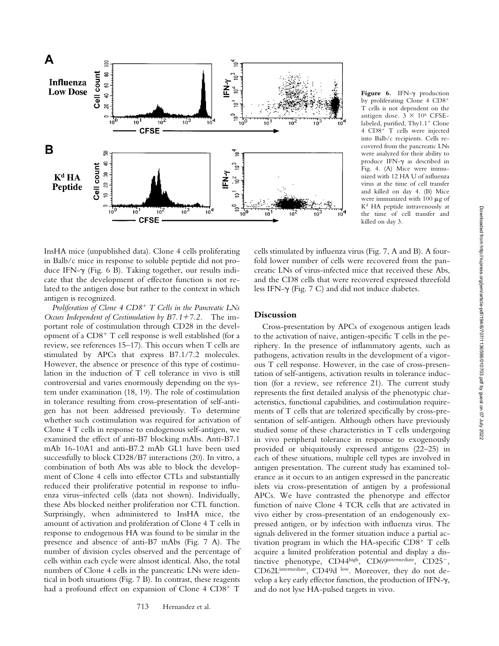

Figure 6. IFN- $\gamma$  production by proliferating Clone 4 CD8- T cells is not dependent on the antigen dose.  $3 \times 10^6$  CFSElabeled, purified, Thy1.1<sup>+</sup> Clone 4 CD8<sup>+</sup> T cells were injected into Balb/c recipients. Cells recovered from the pancreatic LNs were analyzed for their ability to produce IFN- $\gamma$  as described in Fig. 4. (A) Mice were immunized with 12 HA U of influenza virus at the time of cell transfer and killed on day 4. (B) Mice were immunized with  $100 \mu g$  of Kd HA peptide intravenously at the time of cell transfer and killed on day 3.

InsHA mice (unpublished data). Clone 4 cells proliferating in Balb/c mice in response to soluble peptide did not produce IFN- $\gamma$  (Fig. 6 B). Taking together, our results indicate that the development of effector function is not related to the antigen dose but rather to the context in which antigen is recognized.

*Proliferation of Clone 4 CD8*- *T Cells in the Pancreatic LNs Occurs Independent of Costimulation by B7.1*-*7.2.* The important role of costimulation through CD28 in the development of a CD8<sup>+</sup> T cell response is well established (for a review, see references 15–17). This occurs when T cells are stimulated by APCs that express B7.1/7.2 molecules. However, the absence or presence of this type of costimulation in the induction of T cell tolerance in vivo is still controversial and varies enormously depending on the system under examination (18, 19). The role of costimulation in tolerance resulting from cross-presentation of self-antigen has not been addressed previously. To determine whether such costimulation was required for activation of Clone 4 T cells in response to endogenous self-antigen, we examined the effect of anti-B7 blocking mAbs. Anti-B7.1 mAb 16-10A1 and anti-B7.2 mAb GL1 have been used successfully to block CD28/B7 interactions (20). In vitro, a combination of both Abs was able to block the development of Clone 4 cells into effector CTLs and substantially reduced their proliferative potential in response to influenza virus–infected cells (data not shown). Individually, these Abs blocked neither proliferation nor CTL function. Surprisingly, when administered to InsHA mice, the amount of activation and proliferation of Clone 4 T cells in response to endogenous HA was found to be similar in the presence and absence of anti-B7 mAbs (Fig. 7 A). The number of division cycles observed and the percentage of cells within each cycle were almost identical. Also, the total numbers of Clone 4 cells in the pancreatic LNs were identical in both situations (Fig. 7 B). In contrast, these reagents had a profound effect on expansion of Clone 4 CD8<sup>+</sup> T

cells stimulated by influenza virus (Fig. 7, A and B). A fourfold lower number of cells were recovered from the pancreatic LNs of virus-infected mice that received these Abs, and the CD8 cells that were recovered expressed threefold less IFN- $\gamma$  (Fig. 7 C) and did not induce diabetes.

## **Discussion**

Cross-presentation by APCs of exogenous antigen leads to the activation of naive, antigen-specific T cells in the periphery. In the presence of inflammatory agents, such as pathogens, activation results in the development of a vigorous T cell response. However, in the case of cross-presentation of self-antigens, activation results in tolerance induction (for a review, see reference 21). The current study represents the first detailed analysis of the phenotypic characteristics, functional capabilities, and costimulation requirements of T cells that are tolerized specifically by cross-presentation of self-antigen. Although others have previously studied some of these characteristics in T cells undergoing in vivo peripheral tolerance in response to exogenously provided or ubiquitously expressed antigens (22–25) in each of these situations, multiple cell types are involved in antigen presentation. The current study has examined tolerance as it occurs to an antigen expressed in the pancreatic islets via cross-presentation of antigen by a professional APCs. We have contrasted the phenotype and effector function of naive Clone 4 TCR cells that are activated in vivo either by cross-presentation of an endogenously expressed antigen, or by infection with influenza virus. The signals delivered in the former situation induce a partial activation program in which the HA-specific CD8<sup>+</sup> T cells acquire a limited proliferation potential and display a distinctive phenotype, CD44high, CD69intermediate, CD25<sup>-</sup>, CD62Lintermediate, CD49d low. Moreover, they do not develop a key early effector function, the production of IFN- $\gamma$ , and do not lyse HA-pulsed targets in vivo.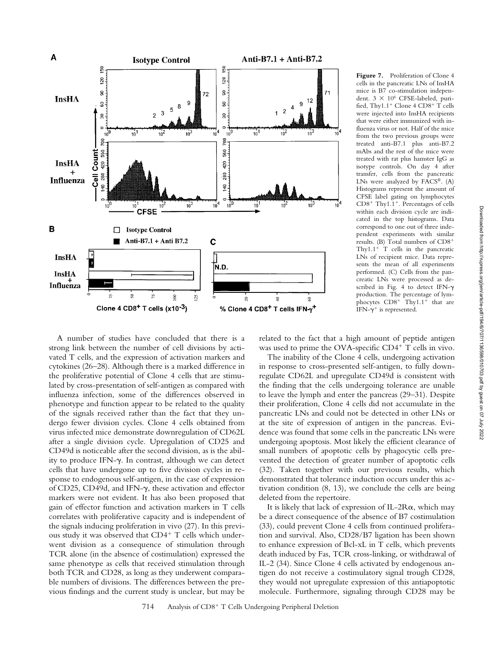

Figure 7. Proliferation of Clone 4 cells in the pancreatic LNs of InsHA mice is B7 co-stimulation independent.  $3 \times 10^6$  CFSE-labeled, purified, Thy1.1<sup>+</sup> Clone 4 CD8<sup>+</sup> T cells were injected into InsHA recipients that were either immunized with influenza virus or not. Half of the mice from the two previous groups were treated anti-B7.1 plus anti-B7.2 mAbs and the rest of the mice were treated with rat plus hamster IgG as isotype controls. On day 4 after transfer, cells from the pancreatic LNs were analyzed by FACS®. (A) Histograms represent the amount of CFSE label gating on lymphocytes CD8<sup>+</sup> Thy1.1<sup>+</sup>. Percentages of cells within each division cycle are indicated in the top histograms. Data correspond to one out of three independent experiments with similar results. (B) Total numbers of CD8- Thy1.1- T cells in the pancreatic LNs of recipient mice. Data represents the mean of all experiments performed. (C) Cells from the pancreatic LNs were processed as described in Fig. 4 to detect IFN- $\gamma$ production. The percentage of lymphocytes  $CD8^+$  Thy $1.1^+$  that are IFN- $\gamma^+$  is represented.

A number of studies have concluded that there is a strong link between the number of cell divisions by activated T cells, and the expression of activation markers and cytokines (26–28). Although there is a marked difference in the proliferative potential of Clone 4 cells that are stimulated by cross-presentation of self-antigen as compared with influenza infection, some of the differences observed in phenotype and function appear to be related to the quality of the signals received rather than the fact that they undergo fewer division cycles. Clone 4 cells obtained from virus infected mice demonstrate downregulation of CD62L after a single division cycle. Upregulation of CD25 and CD49d is noticeable after the second division, as is the ability to produce IFN- $\gamma$ . In contrast, although we can detect cells that have undergone up to five division cycles in response to endogenous self-antigen, in the case of expression of CD25, CD49d, and IFN- $\gamma$ , these activation and effector markers were not evident. It has also been proposed that gain of effector function and activation markers in T cells correlates with proliferative capacity and is independent of the signals inducing proliferation in vivo (27). In this previous study it was observed that CD4<sup>+</sup> T cells which underwent division as a consequence of stimulation through TCR alone (in the absence of costimulation) expressed the same phenotype as cells that received stimulation through both TCR and CD28, as long as they underwent comparable numbers of divisions. The differences between the previous findings and the current study is unclear, but may be

related to the fact that a high amount of peptide antigen was used to prime the OVA-specific CD4<sup>+</sup> T cells in vivo.

The inability of the Clone 4 cells, undergoing activation in response to cross-presented self-antigen, to fully downregulate CD62L and upregulate CD49d is consistent with the finding that the cells undergoing tolerance are unable to leave the lymph and enter the pancreas (29–31). Despite their proliferation, Clone 4 cells did not accumulate in the pancreatic LNs and could not be detected in other LNs or at the site of expression of antigen in the pancreas. Evidence was found that some cells in the pancreatic LNs were undergoing apoptosis. Most likely the efficient clearance of small numbers of apoptotic cells by phagocytic cells prevented the detection of greater number of apoptotic cells (32). Taken together with our previous results, which demonstrated that tolerance induction occurs under this activation condition (8, 13), we conclude the cells are being deleted from the repertoire.

It is likely that lack of expression of IL-2R $\alpha$ , which may be a direct consequence of the absence of B7 costimulation (33), could prevent Clone 4 cells from continued proliferation and survival. Also, CD28/B7 ligation has been shown to enhance expression of Bcl-xL in T cells, which prevents death induced by Fas, TCR cross-linking, or withdrawal of IL-2 (34). Since Clone 4 cells activated by endogenous antigen do not receive a costimulatory signal trough CD28, they would not upregulate expression of this antiapoptotic molecule. Furthermore, signaling through CD28 may be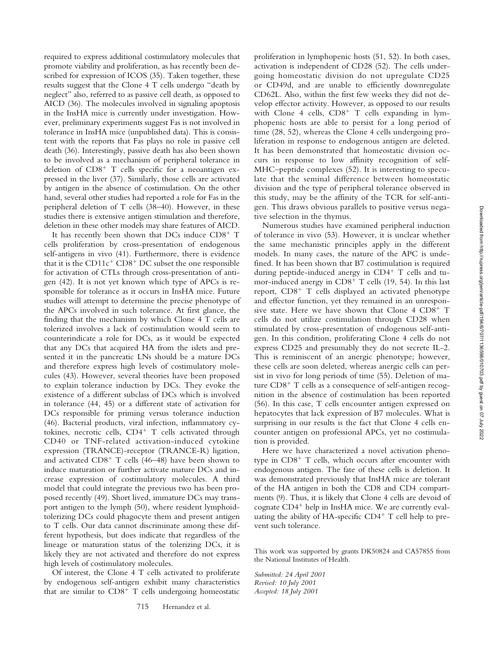or CD49d, and are unable to efficiently downregulate CD62L. Also, within the first few weeks they did not develop effector activity. However, as opposed to our results with Clone 4 cells, CD8<sup>+</sup> T cells expanding in lymphopenic hosts are able to persist for a long period of time (28, 52), whereas the Clone 4 cells undergoing proliferation in response to endogenous antigen are deleted. It has been demonstrated that homeostatic division occurs in response to low affinity recognition of self-MHC–peptide complexes (52). It is interesting to speculate that the seminal difference between homeostatic division and the type of peripheral tolerance observed in this study, may be the affinity of the TCR for self-antigen. This draws obvious parallels to positive versus nega-Numerous studies have examined peripheral induction

Downloaded from http://rupress.org/jem/article-pdf/194/6/707/1136598/010703.pdf by guest on 07 July 2022 Downloaded from http://rupress.org/jem/article-pdf/194/6/707/1136598/010703.pdf by guest on 07 July 2022

of tolerance in vivo (53). However, it is unclear whether the same mechanistic principles apply in the different models. In many cases, the nature of the APC is undefined. It has been shown that B7 costimulation is required during peptide-induced anergy in CD4<sup>+</sup> T cells and tumor-induced anergy in CD8<sup>+</sup> T cells (19, 54). In this last report, CD8<sup>+</sup> T cells displayed an activated phenotype and effector function, yet they remained in an unresponsive state. Here we have shown that Clone 4 CD8<sup>+</sup> T cells do not utilize costimulation through CD28 when stimulated by cross-presentation of endogenous self-antigen. In this condition, proliferating Clone 4 cells do not express CD25 and presumably they do not secrete IL-2. This is reminiscent of an anergic phenotype; however, these cells are soon deleted, whereas anergic cells can persist in vivo for long periods of time (55). Deletion of mature  $CD8^+$  T cells as a consequence of self-antigen recognition in the absence of costimulation has been reported (56). In this case, T cells encounter antigen expressed on hepatocytes that lack expression of B7 molecules. What is surprising in our results is the fact that Clone 4 cells encounter antigen on professional APCs, yet no costimulation is provided.

tive selection in the thymus.

proliferation in lymphopenic hosts (51, 52). In both cases, activation is independent of CD28 (52). The cells undergoing homeostatic division do not upregulate CD25

Here we have characterized a novel activation phenotype in CD8<sup>+</sup> T cells, which occurs after encounter with endogenous antigen. The fate of these cells is deletion. It was demonstrated previously that InsHA mice are tolerant of the HA antigen in both the CD8 and CD4 compartments (9). Thus, it is likely that Clone 4 cells are devoid of cognate CD4<sup>+</sup> help in InsHA mice. We are currently evaluating the ability of HA-specific CD4<sup>+</sup> T cell help to prevent such tolerance.

This work was supported by grants DK50824 and CA57855 from the National Institutes of Health.

*Submitted: 24 April 2001 Revised: 10 July 2001 Accepted: 18 July 2001*

required to express additional costimulatory molecules that promote viability and proliferation, as has recently been described for expression of ICOS (35). Taken together, these results suggest that the Clone 4 T cells undergo "death by neglect" also, referred to as passive cell death, as opposed to AICD (36). The molecules involved in signaling apoptosis in the InsHA mice is currently under investigation. However, preliminary experiments suggest Fas is not involved in tolerance in InsHA mice (unpublished data). This is consistent with the reports that Fas plays no role in passive cell death (36). Interestingly, passive death has also been shown to be involved as a mechanism of peripheral tolerance in deletion of CD8<sup>+</sup> T cells specific for a neoantigen expressed in the liver (37). Similarly, those cells are activated by antigen in the absence of costimulation. On the other hand, several other studies had reported a role for Fas in the peripheral deletion of T cells (38–40). However, in these studies there is extensive antigen stimulation and therefore, deletion in these other models may share features of AICD.

It has recently been shown that DCs induce CD8<sup>+</sup> T cells proliferation by cross-presentation of endogenous self-antigens in vivo (41). Furthermore, there is evidence that it is the  $CD11c^{+}$   $CD8^{+}$  DC subset the one responsible for activation of CTLs through cross-presentation of antigen (42). It is not yet known which type of APCs is responsible for tolerance as it occurs in InsHA mice. Future studies will attempt to determine the precise phenotype of the APCs involved in such tolerance. At first glance, the finding that the mechanism by which Clone 4 T cells are tolerized involves a lack of costimulation would seem to counterindicate a role for DCs, as it would be expected that any DCs that acquired HA from the islets and presented it in the pancreatic LNs should be a mature DCs and therefore express high levels of costimulatory molecules (43). However, several theories have been proposed to explain tolerance induction by DCs. They evoke the existence of a different subclass of DCs which is involved in tolerance (44, 45) or a different state of activation for DCs responsible for priming versus tolerance induction (46). Bacterial products, viral infection, inflammatory cytokines, necrotic cells, CD4<sup>+</sup> T cells activated through CD40 or TNF-related activation-induced cytokine expression (TRANCE)-receptor (TRANCE-R) ligation, and activated CD8<sup>+</sup> T cells (46–48) have been shown to induce maturation or further activate mature DCs and increase expression of costimulatory molecules. A third model that could integrate the previous two has been proposed recently (49). Short lived, immature DCs may transport antigen to the lymph (50), where resident lymphoidtolerizing DCs could phagocyte them and present antigen to T cells. Our data cannot discriminate among these different hypothesis, but does indicate that regardless of the lineage or maturation status of the tolerizing DCs, it is likely they are not activated and therefore do not express high levels of costimulatory molecules.

Of interest, the Clone 4 T cells activated to proliferate by endogenous self-antigen exhibit many characteristics that are similar to CD8<sup>+</sup> T cells undergoing homeostatic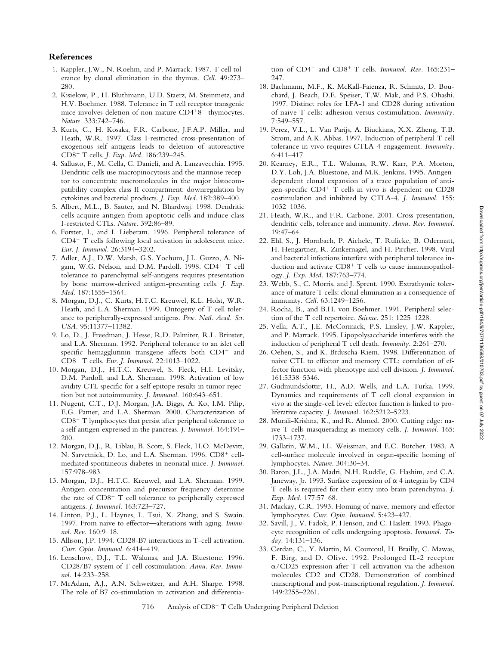## **References**

- 1. Kappler, J.W., N. Roehm, and P. Marrack. 1987. T cell tolerance by clonal elimination in the thymus. *Cell.* 49:273– 280.
- 2. Kisielow, P., H. Bluthmann, U.D. Staerz, M. Steinmetz, and H.V. Boehmer. 1988. Tolerance in T cell receptor transgenic mice involves deletion of non mature CD4+8<sup>-</sup> thymocytes. *Nature.* 333:742–746.
- 3. Kurts, C., H. Kosaka, F.R. Carbone, J.F.A.P. Miller, and Heath, W.R. 1997. Class I-restricted cross-presentation of exogenous self antigens leads to deletion of autoreactive CD8- T cells. *J. Exp. Med.* 186:239–245.
- 4. Sallusto, F., M. Cella, C. Danieli, and A. Lanzavecchia. 1995. Dendritic cells use macropinocytosis and the mannose receptor to concentrate macromolecules in the major histocompatibility complex class II compartment: downregulation by cytokines and bacterial products. *J. Exp. Med.* 182:389–400.
- 5. Albert, M.L., B. Sauter, and N. Bhardwaj. 1998. Dendritic cells acquire antigen from apoptotic cells and induce class I-restricted CTLs. *Nature.* 392:86–89.
- 6. Forster, I., and I. Lieberam. 1996. Peripheral tolerance of CD4<sup>+</sup> T cells following local activation in adolescent mice. *Eur. J. Immunol.* 26:3194–3202.
- 7. Adler, A.J., D.W. Marsh, G.S. Yochum, J.L. Guzzo, A. Nigam, W.G. Nelson, and D.M. Pardoll. 1998. CD4<sup>+</sup> T cell tolerance to parenchymal self-antigens requires presentation by bone marrow-derived antigen-presenting cells. *J. Exp. Med.* 187:1555–1564.
- 8. Morgan, D.J., C. Kurts, H.T.C. Kreuwel, K.L. Holst, W.R. Heath, and L.A. Sherman. 1999. Ontogeny of T cell tolerance to peripherally-expressed antigens. *Proc. Natl. Acad. Sci. USA.* 95:11377–11382.
- 9. Lo, D., J. Freedman, J. Hesse, R.D. Palmiter, R.L. Brinster, and L.A. Sherman. 1992. Peripheral tolerance to an islet cell specific hemagglutinin transgene affects both CD4<sup>+</sup> and CD8- T cells. *Eur. J. Immunol.* 22:1013–1022.
- 10. Morgan, D.J., H.T.C. Kreuwel, S. Fleck, H.I. Levitsky, D.M. Pardoll, and L.A. Sherman. 1998. Activation of low avidity CTL specific for a self epitope results in tumor rejection but not autoimmunity. *J. Immunol.* 160:643–651.
- 11. Nugent, C.T., D.J. Morgan, J.A. Biggs, A. Ko, I.M. Pilip, E.G. Pamer, and L.A. Sherman. 2000. Characterization of CD8<sup>+</sup> T lymphocytes that persist after peripheral tolerance to a self antigen expressed in the pancreas. *J. Immunol.* 164:191– 200.
- 12. Morgan, D.J., R. Liblau, B. Scott, S. Fleck, H.O. McDevitt, N. Sarvetnick, D. Lo, and L.A. Sherman. 1996. CD8<sup>+</sup> cellmediated spontaneous diabetes in neonatal mice. *J. Immunol.* 157:978–983.
- 13. Morgan, D.J., H.T.C. Kreuwel, and L.A. Sherman. 1999. Antigen concentration and precursor frequency determine the rate of CD8<sup>+</sup> T cell tolerance to peripherally expressed antigens. *J. Immunol.* 163:723–727.
- 14. Linton, P.J., L. Haynes, L. Tsui, X. Zhang, and S. Swain. 1997. From naive to effector—alterations with aging. *Immunol. Rev.* 160:9–18.
- 15. Allison, J.P. 1994. CD28-B7 interactions in T-cell activation. *Curr. Opin. Immunol.* 6:414–419.
- 16. Lenschow, D.J., T.L. Walunas, and J.A. Bluestone. 1996. CD28/B7 system of T cell costimulation. *Annu. Rev. Immunol.* 14:233–258.
- 17. McAdam, A.J., A.N. Schweitzer, and A.H. Sharpe. 1998. The role of B7 co-stimulation in activation and differentia-

tion of CD4<sup>+</sup> and CD8<sup>+</sup> T cells. *Immunol. Rev.* 165:231-247.

- 18. Bachmann, M.F., K. McKall-Faienza, R. Schmits, D. Bouchard, J. Beach, D.E. Speiser, T.W. Mak, and P.S. Ohashi. 1997. Distinct roles for LFA-1 and CD28 during activation of naive T cells: adhesion versus costimulation. *Immunity.* 7:549–557.
- 19. Perez, V.L., L. Van Parijs, A. Biuckians, X.X. Zheng, T.B. Strom, and A.K. Abbas. 1997. Induction of peripheral T cell tolerance in vivo requires CTLA-4 engagement. *Immunity.* 6:411–417.
- 20. Kearney, E.R., T.L. Walunas, R.W. Karr, P.A. Morton, D.Y. Loh, J.A. Bluestone, and M.K. Jenkins. 1995. Antigendependent clonal expansion of a trace population of antigen-specific CD4- T cells in vivo is dependent on CD28 costimulation and inhibited by CTLA-4. *J. Immunol.* 155: 1032–1036.
- 21. Heath, W.R., and F.R. Carbone. 2001. Cross-presentation, dendritic cells, tolerance and immunity. *Annu. Rev. Immunol.* 19:47–64.
- 22. Ehl, S., J. Hornbach, P. Aichele, T. Rulicke, B. Odermatt, H. Hengartner, R. Zinkernagel, and H. Pircher. 1998. Viral and bacterial infections interfere with peripheral tolerance induction and activate CD8<sup>+</sup> T cells to cause immunopathology. *J. Exp. Med.* 187:763–774.
- 23. Webb, S., C. Morris, and J. Sprent. 1990. Extrathymic tolerance of mature T cells: clonal elimination as a consequence of immunity. *Cell.* 63:1249–1256.
- 24. Rocha, B., and B.H. von Boehmer. 1991. Peripheral selection of the T cell repertoire. *Science.* 251: 1225–1228.
- 25. Vella, A.T., J.E. McCormack, P.S. Linsley, J.W. Kappler, and P. Marrack. 1995. Lipopolysaccharide interferes with the induction of peripheral T cell death. *Immunity.* 2:261–270.
- 26. Oehen, S., and K. Brduscha-Riem. 1998. Differentiation of naive CTL to effector and memory CTL: correlation of effector function with phenotype and cell division. *J. Immunol.* 161:5338–5346.
- 27. Gudmundsdottir, H., A.D. Wells, and L.A. Turka. 1999. Dynamics and requirements of T cell clonal expansion in vivo at the single-cell level: effector function is linked to proliferative capacity. *J. Immunol.* 162:5212–5223.
- 28. Murali-Krishna, K., and R. Ahmed. 2000. Cutting edge: naive T cells masquerading as memory cells. *J. Immunol.* 165: 1733–1737.
- 29. Gallatin, W.M., I.L. Weissman, and E.C. Butcher. 1983. A cell-surface molecule involved in organ-specific homing of lymphocytes. *Nature.* 304:30–34.
- 30. Baron, J.L., J.A. Madri, N.H. Ruddle, G. Hashim, and C.A. Janeway, Jr. 1993. Surface expression of  $\alpha$  4 integrin by CD4 T cells is required for their entry into brain parenchyma. *J. Exp. Med.* 177:57–68.
- 31. Mackay, C.R. 1993. Homing of naive, memory and effector lymphocytes. *Curr. Opin. Immunol.* 5:423–427.
- 32. Savill, J., V. Fadok, P. Henson, and C. Haslett. 1993. Phagocyte recognition of cells undergoing apoptosis. *Immunol. Today.* 14:131–136.
- 33. Cerdan, C., Y. Martin, M. Courcoul, H. Brailly, C. Mawas, F. Birg, and D. Olive. 1992. Prolonged IL-2 receptor  $\alpha$ /CD25 expression after T cell activation via the adhesion molecules CD2 and CD28. Demonstration of combined transcriptional and post-transcriptional regulation. *J. Immunol.* 149:2255–2261.